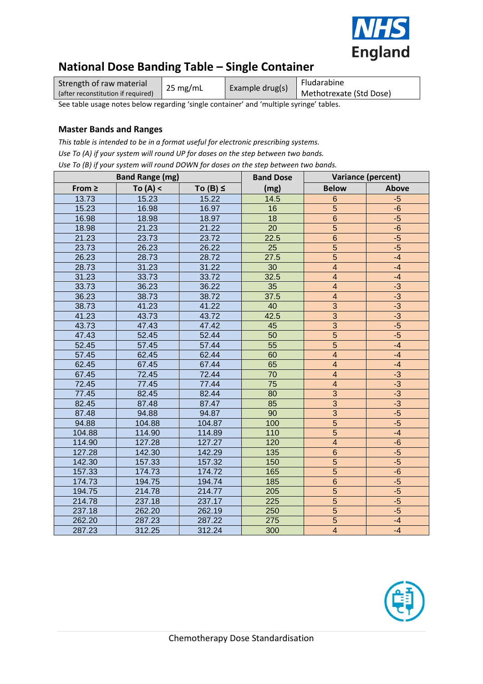

# **National Dose Banding Table – Single Container**

| Strength of raw material           | $25 \text{ mg/mL}$ | Example drug(s) | Fludarabine             |
|------------------------------------|--------------------|-----------------|-------------------------|
| (after reconstitution if required) |                    |                 | Methotrexate (Std Dose) |

See table usage notes below regarding 'single container' and 'multiple syringe' tables.

### **Master Bands and Ranges**

*This table is intended to be in a format useful for electronic prescribing systems. Use To (A) if your system will round UP for doses on the step between two bands. Use To (B) if your system will round DOWN for doses on the step between two bands.*

|             | <b>Band Range (mg)</b> |               | <b>Band Dose</b> | Variance (percent)      |              |  |  |  |  |
|-------------|------------------------|---------------|------------------|-------------------------|--------------|--|--|--|--|
| From $\geq$ | To $(A) <$             | To $(B) \leq$ | (mg)             | <b>Below</b>            | <b>Above</b> |  |  |  |  |
| 13.73       | 15.23                  | 15.22         | 14.5             | $6\phantom{1}6$         | $-5$         |  |  |  |  |
| 15.23       | 16.98                  | 16.97         | 16               | 5                       | $-6$         |  |  |  |  |
| 16.98       | 18.98                  | 18.97         | 18               | $\,$ 6 $\,$             | $-5$         |  |  |  |  |
| 18.98       | 21.23                  | 21.22         | 20               | $\overline{5}$          | $-6$         |  |  |  |  |
| 21.23       | 23.73                  | 23.72         | 22.5             | $\,$ 6 $\,$             | $-5$         |  |  |  |  |
| 23.73       | 26.23                  | 26.22         | 25               | $\overline{5}$          | $-5$         |  |  |  |  |
| 26.23       | 28.73                  | 28.72         | 27.5             | $\overline{5}$          | $-4$         |  |  |  |  |
| 28.73       | 31.23                  | 31.22         | 30               | $\overline{\mathbf{4}}$ | $-4$         |  |  |  |  |
| 31.23       | 33.73                  | 33.72         | 32.5             | $\overline{\mathbf{4}}$ | $-4$         |  |  |  |  |
| 33.73       | 36.23                  | 36.22         | 35               | $\overline{\mathbf{4}}$ | $-3$         |  |  |  |  |
| 36.23       | 38.73                  | 38.72         | 37.5             | $\overline{\mathbf{4}}$ | $-3$         |  |  |  |  |
| 38.73       | 41.23                  | 41.22         | 40               | $\overline{3}$          | $-3$         |  |  |  |  |
| 41.23       | 43.73                  | 43.72         | 42.5             | $\overline{3}$          | $-3$         |  |  |  |  |
| 43.73       | 47.43                  | 47.42         | 45               | $\overline{3}$          | $-5$         |  |  |  |  |
| 47.43       | 52.45                  | 52.44         | 50               | $\overline{5}$          | $-5$         |  |  |  |  |
| 52.45       | 57.45                  | 57.44         | 55               | 5                       | $-4$         |  |  |  |  |
| 57.45       | 62.45                  | 62.44         | 60               | $\overline{\mathbf{4}}$ | $-4$         |  |  |  |  |
| 62.45       | 67.45                  | 67.44         | 65               | $\overline{4}$          | $-4$         |  |  |  |  |
| 67.45       | 72.45                  | 72.44         | 70               | $\overline{\mathbf{4}}$ | $-3$         |  |  |  |  |
| 72.45       | 77.45                  | 77.44         | 75               | $\overline{4}$          | $-3$         |  |  |  |  |
| 77.45       | 82.45                  | 82.44         | 80               | $\overline{3}$          | $-3$         |  |  |  |  |
| 82.45       | 87.48                  | 87.47         | 85               | $\overline{3}$          | $-3$         |  |  |  |  |
| 87.48       | 94.88                  | 94.87         | 90               | $\overline{3}$          | $-5$         |  |  |  |  |
| 94.88       | 104.88                 | 104.87        | 100              | $\overline{5}$          | $-5$         |  |  |  |  |
| 104.88      | 114.90                 | 114.89        | 110              | $\overline{5}$          | $-4$         |  |  |  |  |
| 114.90      | 127.28                 | 127.27        | 120              | $\overline{4}$          | $-6$         |  |  |  |  |
| 127.28      | 142.30                 | 142.29        | 135              | $\overline{6}$          | $-5$         |  |  |  |  |
| 142.30      | 157.33                 | 157.32        | 150              | $\overline{5}$          | $-5$         |  |  |  |  |
| 157.33      | 174.73                 | 174.72        | 165              | $\overline{5}$          | $-6$         |  |  |  |  |
| 174.73      | 194.75                 | 194.74        | 185              | $\overline{6}$          | $-5$         |  |  |  |  |
| 194.75      | 214.78                 | 214.77        | 205              | $\overline{5}$          | $-5$         |  |  |  |  |
| 214.78      | 237.18                 | 237.17        | 225              | $\overline{5}$          | $-5$         |  |  |  |  |
| 237.18      | 262.20                 | 262.19        | 250              | $\overline{5}$          | $-5$         |  |  |  |  |
| 262.20      | 287.23                 | 287.22        | 275              | $\overline{5}$          | $-4$         |  |  |  |  |
| 287.23      | 312.25                 | 312.24        | 300              | $\overline{4}$          | $-4$         |  |  |  |  |